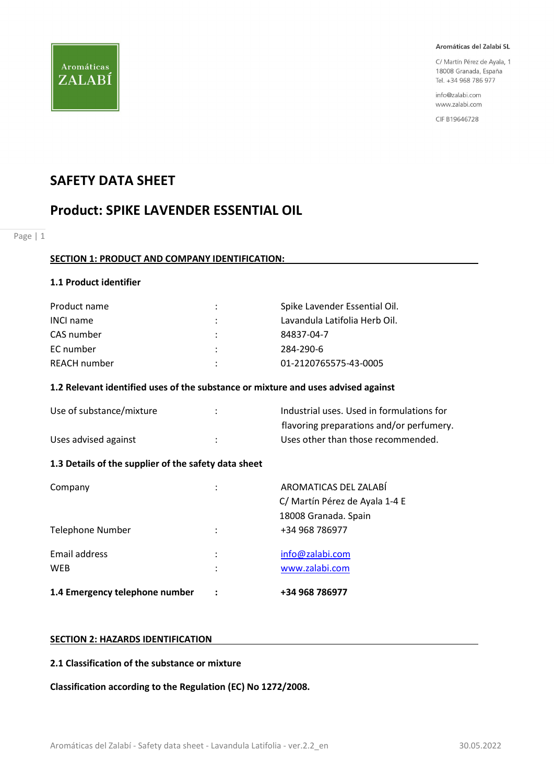

C/ Martín Pérez de Ayala, 1 18008 Granada, España Tel. +34 968 786 977

info@zalabi.com www.zalabi.com

CIF B19646728

# SAFETY DATA SHEET

# Product: SPIKE LAVENDER ESSENTIAL OIL

Page | 1

#### SECTION 1: PRODUCT AND COMPANY IDENTIFICATION:

#### 1.1 Product identifier

| Product name     |               | Spike Lavender Essential Oil. |
|------------------|---------------|-------------------------------|
| <b>INCI name</b> |               | Lavandula Latifolia Herb Oil. |
| CAS number       | $\mathcal{L}$ | 84837-04-7                    |
| EC number        |               | 284-290-6                     |
| REACH number     | ٠             | 01-2120765575-43-0005         |

#### 1.2 Relevant identified uses of the substance or mixture and uses advised against

| Use of substance/mixture | Industrial uses. Used in formulations for |
|--------------------------|-------------------------------------------|
|                          | flavoring preparations and/or perfumery.  |
| Uses advised against     | Uses other than those recommended.        |

## 1.3 Details of the supplier of the safety data sheet

| 1.4 Emergency telephone number |                      | +34 968 786977                                          |
|--------------------------------|----------------------|---------------------------------------------------------|
| Email address<br><b>WEB</b>    | ٠<br>٠               | info@zalabi.com<br>www.zalabi.com                       |
| Telephone Number               | $\ddot{\phantom{a}}$ | 18008 Granada. Spain<br>+34 968 786977                  |
| Company                        | ٠                    | AROMATICAS DEL ZALABÍ<br>C/ Martín Pérez de Ayala 1-4 E |

#### SECTION 2: HAZARDS IDENTIFICATION

#### 2.1 Classification of the substance or mixture

Classification according to the Regulation (EC) No 1272/2008.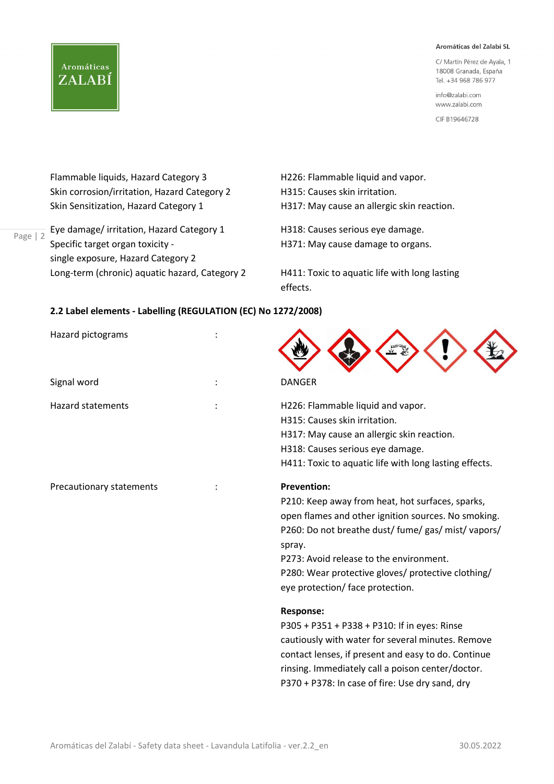C/ Martín Pérez de Ayala, 1 18008 Granada, España Tel. +34 968 786 977

info@zalabi.com www.zalabi.com

CIF B19646728

Flammable liquids, Hazard Category 3 H226: Flammable liquid and vapor. Skin corrosion/irritation, Hazard Category 2 H315: Causes skin irritation. Skin Sensitization, Hazard Category 1 H317: May cause an allergic skin reaction.

**Aromáticas** 

ZALABÍ

Page | 2 Lyc damage, innealon, riazait<br>Specific target organ toxicity -Eye damage/ irritation, Hazard Category 1 H318: Causes serious eye damage. single exposure, Hazard Category 2 Long-term (chronic) aquatic hazard, Category 2 H411: Toxic to aquatic life with long lasting

H371: May cause damage to organs.

effects.

## 2.2 Label elements - Labelling (REGULATION (EC) No 1272/2008)

| Hazard pictograms        |                                                                                                                                                                                                                                                                                                                                     |
|--------------------------|-------------------------------------------------------------------------------------------------------------------------------------------------------------------------------------------------------------------------------------------------------------------------------------------------------------------------------------|
| Signal word              | <b>DANGER</b>                                                                                                                                                                                                                                                                                                                       |
| <b>Hazard statements</b> | H226: Flammable liquid and vapor.<br>H315: Causes skin irritation.<br>H317: May cause an allergic skin reaction.<br>H318: Causes serious eye damage.<br>H411: Toxic to aquatic life with long lasting effects.                                                                                                                      |
| Precautionary statements | <b>Prevention:</b><br>P210: Keep away from heat, hot surfaces, sparks,<br>open flames and other ignition sources. No smoking.<br>P260: Do not breathe dust/ fume/ gas/ mist/ vapors/<br>spray.<br>P273: Avoid release to the environment.<br>P280: Wear protective gloves/ protective clothing/<br>eye protection/ face protection. |
|                          | <b>Response:</b><br>P305 + P351 + P338 + P310: If in eyes: Rinse<br>cautiously with water for several minutes. Remove<br>contact lenses, if present and easy to do. Continue<br>rinsing. Immediately call a poison center/doctor.<br>P370 + P378: In case of fire: Use dry sand, dry                                                |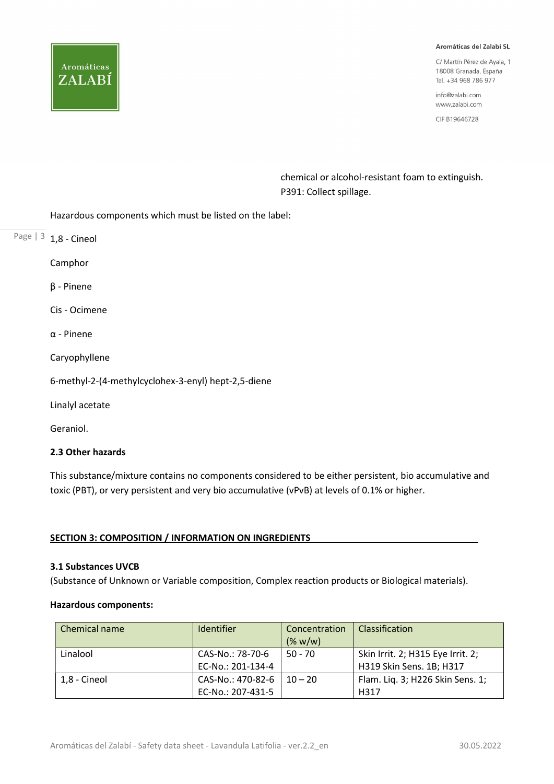

C/ Martín Pérez de Ayala, 1 18008 Granada, España Tel. +34 968 786 977

info@zalabi.com www.zalabi.com

CIF B19646728

 chemical or alcohol-resistant foam to extinguish. P391: Collect spillage.

Hazardous components which must be listed on the label:

Page  $|3 1,8$  - Cineol

Camphor

β - Pinene

Cis - Ocimene

α - Pinene

Caryophyllene

6-methyl-2-(4-methylcyclohex-3-enyl) hept-2,5-diene

Linalyl acetate

Geraniol.

## 2.3 Other hazards

This substance/mixture contains no components considered to be either persistent, bio accumulative and toxic (PBT), or very persistent and very bio accumulative (vPvB) at levels of 0.1% or higher.

## SECTION 3: COMPOSITION / INFORMATION ON INGREDIENTS

## 3.1 Substances UVCB

(Substance of Unknown or Variable composition, Complex reaction products or Biological materials).

## Hazardous components:

| Chemical name | Identifier                             | Concentration<br>(% w/w) | <b>Classification</b>                                         |
|---------------|----------------------------------------|--------------------------|---------------------------------------------------------------|
| Linalool      | CAS-No.: 78-70-6<br>EC-No.: 201-134-4  | $50 - 70$                | Skin Irrit. 2; H315 Eye Irrit. 2;<br>H319 Skin Sens. 1B; H317 |
| 1.8 - Cineol  | CAS-No.: 470-82-6<br>EC-No.: 207-431-5 | $10 - 20$                | Flam. Lig. 3; H226 Skin Sens. 1;<br>H317                      |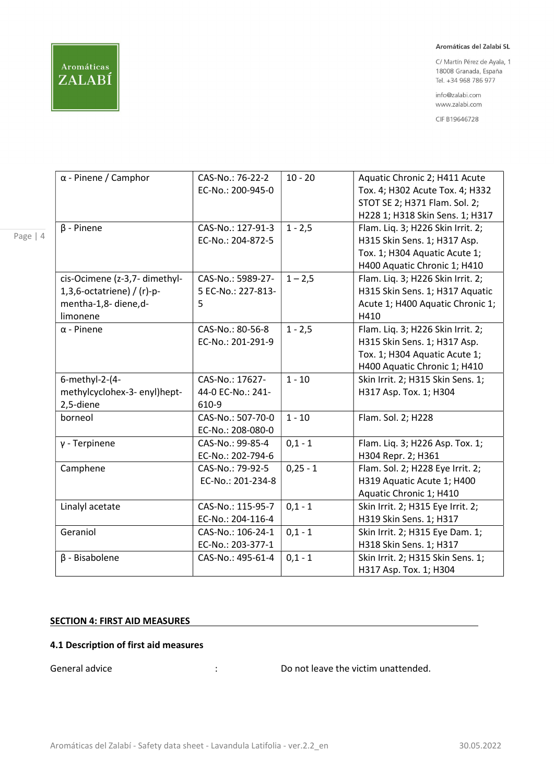Page | 4

#### Aromáticas del Zalabí SL

C/ Martín Pérez de Ayala, 1 18008 Granada, España Tel. +34 968 786 977

info@zalabi.com www.zalabi.com

CIF B19646728

| $\alpha$ - Pinene / Camphor   | CAS-No.: 76-22-2   | $10 - 20$  | Aquatic Chronic 2; H411 Acute     |
|-------------------------------|--------------------|------------|-----------------------------------|
|                               | EC-No.: 200-945-0  |            | Tox. 4; H302 Acute Tox. 4; H332   |
|                               |                    |            | STOT SE 2; H371 Flam. Sol. 2;     |
|                               |                    |            | H228 1; H318 Skin Sens. 1; H317   |
| $\beta$ - Pinene              | CAS-No.: 127-91-3  | $1 - 2,5$  | Flam. Liq. 3; H226 Skin Irrit. 2; |
|                               | EC-No.: 204-872-5  |            | H315 Skin Sens. 1; H317 Asp.      |
|                               |                    |            | Tox. 1; H304 Aquatic Acute 1;     |
|                               |                    |            | H400 Aquatic Chronic 1; H410      |
| cis-Ocimene (z-3,7- dimethyl- | CAS-No.: 5989-27-  | $1 - 2,5$  | Flam. Liq. 3; H226 Skin Irrit. 2; |
| 1,3,6-octatriene) / $(r)-p-$  | 5 EC-No.: 227-813- |            | H315 Skin Sens. 1; H317 Aquatic   |
| mentha-1,8- diene,d-          | 5                  |            | Acute 1; H400 Aquatic Chronic 1;  |
| limonene                      |                    |            | H410                              |
| $\alpha$ - Pinene             | CAS-No.: 80-56-8   | $1 - 2,5$  | Flam. Liq. 3; H226 Skin Irrit. 2; |
|                               | EC-No.: 201-291-9  |            | H315 Skin Sens. 1; H317 Asp.      |
|                               |                    |            | Tox. 1; H304 Aquatic Acute 1;     |
|                               |                    |            | H400 Aquatic Chronic 1; H410      |
| 6-methyl-2-(4-                | CAS-No.: 17627-    | $1 - 10$   | Skin Irrit. 2; H315 Skin Sens. 1; |
| methylcyclohex-3- enyl)hept-  | 44-0 EC-No.: 241-  |            | H317 Asp. Tox. 1; H304            |
| 2,5-diene                     | 610-9              |            |                                   |
| borneol                       | CAS-No.: 507-70-0  | $1 - 10$   | Flam. Sol. 2; H228                |
|                               | EC-No.: 208-080-0  |            |                                   |
| $y$ - Terpinene               | CAS-No.: 99-85-4   | $0,1 - 1$  | Flam. Liq. 3; H226 Asp. Tox. 1;   |
|                               | EC-No.: 202-794-6  |            | H304 Repr. 2; H361                |
| Camphene                      | CAS-No.: 79-92-5   | $0,25 - 1$ | Flam. Sol. 2; H228 Eye Irrit. 2;  |
|                               | EC-No.: 201-234-8  |            | H319 Aquatic Acute 1; H400        |
|                               |                    |            | Aquatic Chronic 1; H410           |
| Linalyl acetate               | CAS-No.: 115-95-7  | $0,1 - 1$  | Skin Irrit. 2; H315 Eye Irrit. 2; |
|                               | EC-No.: 204-116-4  |            | H319 Skin Sens. 1; H317           |
| Geraniol                      | CAS-No.: 106-24-1  | $0,1 - 1$  | Skin Irrit. 2; H315 Eye Dam. 1;   |
|                               | EC-No.: 203-377-1  |            | H318 Skin Sens. 1; H317           |
| $\beta$ - Bisabolene          | CAS-No.: 495-61-4  | $0,1 - 1$  | Skin Irrit. 2; H315 Skin Sens. 1; |
|                               |                    |            | H317 Asp. Tox. 1; H304            |
|                               |                    |            |                                   |

#### SECTION 4: FIRST AID MEASURES

#### 4.1 Description of first aid measures

General advice **Selection**  $\cdot$  **Conserverse in the victim unattended.**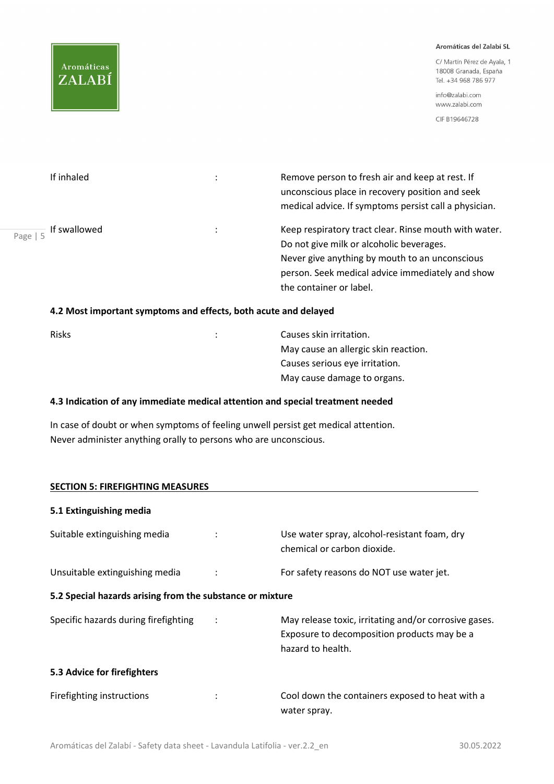

C/ Martín Pérez de Ayala, 1 18008 Granada, España Tel. +34 968 786 977

info@zalabi.com www.zalabi.com

CIF B19646728

| If inhaled                               | Remove person to fresh air and keep at rest. If<br>unconscious place in recovery position and seek<br>medical advice. If symptoms persist call a physician. |
|------------------------------------------|-------------------------------------------------------------------------------------------------------------------------------------------------------------|
| $\frac{1}{\text{Page}   5}$ If swallowed | Keep respiratory tract clear. Rinse mouth with water.<br>Do not give milk or alcoholic beverages.                                                           |
|                                          | Never give anything by mouth to an unconscious<br>person. Seek medical advice immediately and show                                                          |
|                                          | the container or label.                                                                                                                                     |

#### 4.2 Most important symptoms and effects, both acute and delayed

| <b>Risks</b> | Causes skin irritation.              |
|--------------|--------------------------------------|
|              | May cause an allergic skin reaction. |
|              | Causes serious eye irritation.       |
|              | May cause damage to organs.          |

## 4.3 Indication of any immediate medical attention and special treatment needed

In case of doubt or when symptoms of feeling unwell persist get medical attention. Never administer anything orally to persons who are unconscious.

| <b>SECTION 5: FIREFIGHTING MEASURES</b>                   |                                                                                                                           |
|-----------------------------------------------------------|---------------------------------------------------------------------------------------------------------------------------|
| 5.1 Extinguishing media                                   |                                                                                                                           |
| Suitable extinguishing media                              | Use water spray, alcohol-resistant foam, dry<br>chemical or carbon dioxide.                                               |
| Unsuitable extinguishing media                            | For safety reasons do NOT use water jet.                                                                                  |
| 5.2 Special hazards arising from the substance or mixture |                                                                                                                           |
| Specific hazards during firefighting                      | May release toxic, irritating and/or corrosive gases.<br>Exposure to decomposition products may be a<br>hazard to health. |
| 5.3 Advice for firefighters                               |                                                                                                                           |
| Firefighting instructions                                 | Cool down the containers exposed to heat with a<br>water spray.                                                           |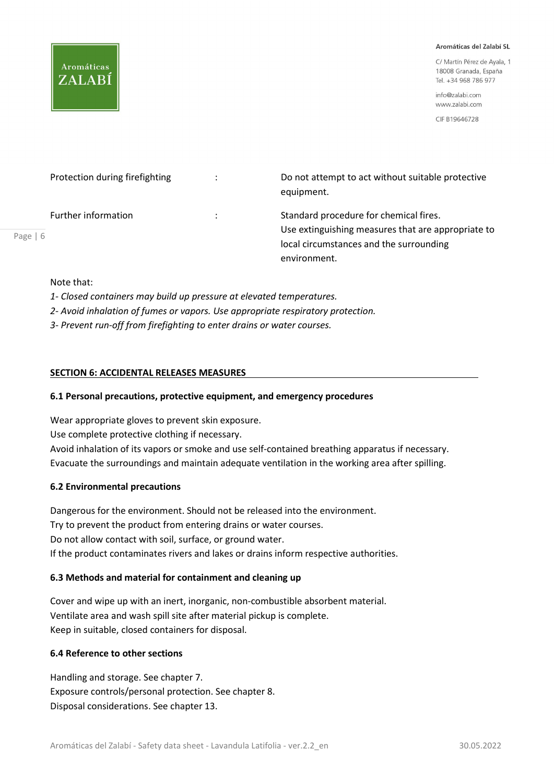

C/ Martín Pérez de Avala, 1 18008 Granada, España Tel. +34 968 786 977

info@zalabi.com www.zalabi.com

CIF B19646728

| Protection during firefighting |   | Do not attempt to act without suitable protective<br>equipment.                                                                                         |
|--------------------------------|---|---------------------------------------------------------------------------------------------------------------------------------------------------------|
| Further information<br>6       | ÷ | Standard procedure for chemical fires.<br>Use extinguishing measures that are appropriate to<br>local circumstances and the surrounding<br>environment. |

Note that:

Page |

1- Closed containers may build up pressure at elevated temperatures.

2- Avoid inhalation of fumes or vapors. Use appropriate respiratory protection.

3- Prevent run-off from firefighting to enter drains or water courses.

#### SECTION 6: ACCIDENTAL RELEASES MEASURES

#### 6.1 Personal precautions, protective equipment, and emergency procedures

Wear appropriate gloves to prevent skin exposure. Use complete protective clothing if necessary. Avoid inhalation of its vapors or smoke and use self-contained breathing apparatus if necessary. Evacuate the surroundings and maintain adequate ventilation in the working area after spilling.

#### 6.2 Environmental precautions

Dangerous for the environment. Should not be released into the environment. Try to prevent the product from entering drains or water courses. Do not allow contact with soil, surface, or ground water. If the product contaminates rivers and lakes or drains inform respective authorities.

## 6.3 Methods and material for containment and cleaning up

Cover and wipe up with an inert, inorganic, non-combustible absorbent material. Ventilate area and wash spill site after material pickup is complete. Keep in suitable, closed containers for disposal.

## 6.4 Reference to other sections

Handling and storage. See chapter 7. Exposure controls/personal protection. See chapter 8. Disposal considerations. See chapter 13.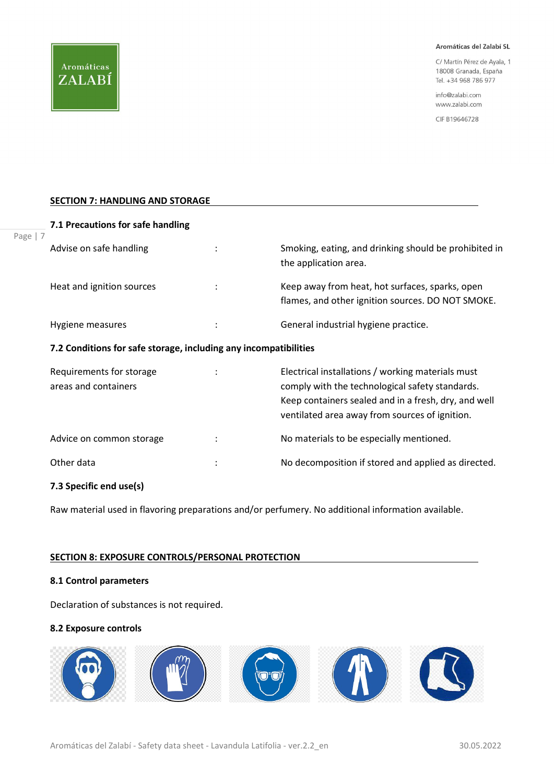C/ Martín Pérez de Ayala, 1 18008 Granada, España Tel. +34 968 786 977

info@zalabi.com www.zalabi.com

CIF B19646728

#### **SECTION 7: HANDLING AND STORAGE**

| Advise on safe handling                                          | Smoking, eating, and drinking should be prohibited in<br>the application area.                                                                                                                                 |
|------------------------------------------------------------------|----------------------------------------------------------------------------------------------------------------------------------------------------------------------------------------------------------------|
| Heat and ignition sources                                        | Keep away from heat, hot surfaces, sparks, open<br>flames, and other ignition sources. DO NOT SMOKE.                                                                                                           |
| Hygiene measures                                                 | General industrial hygiene practice.                                                                                                                                                                           |
| 7.2 Conditions for safe storage, including any incompatibilities |                                                                                                                                                                                                                |
| Requirements for storage<br>areas and containers                 | Electrical installations / working materials must<br>comply with the technological safety standards.<br>Keep containers sealed and in a fresh, dry, and well<br>ventilated area away from sources of ignition. |
| Advice on common storage                                         | No materials to be especially mentioned.                                                                                                                                                                       |
|                                                                  |                                                                                                                                                                                                                |

Other data **in the contract of the COLO** is the No decomposition if stored and applied as directed.

#### 7.3 Specific end use(s)

Raw material used in flavoring preparations and/or perfumery. No additional information available.

#### SECTION 8: EXPOSURE CONTROLS/PERSONAL PROTECTION

#### 8.1 Control parameters

Declaration of substances is not required.

#### 8.2 Exposure controls

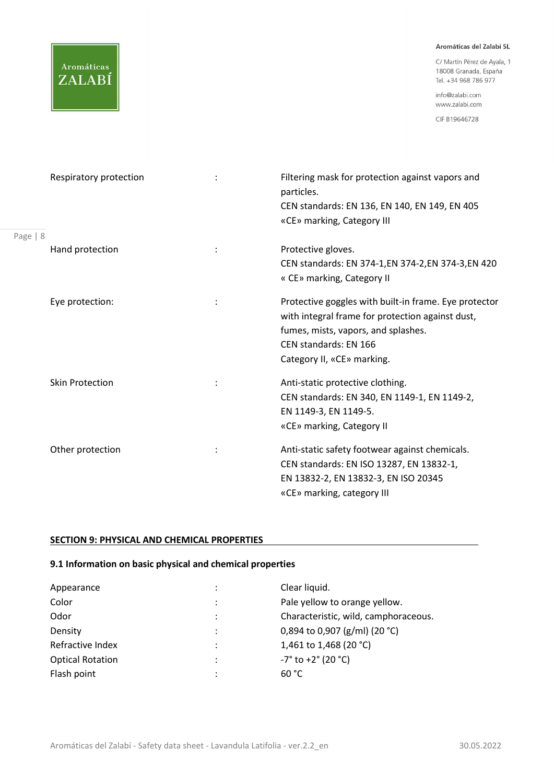C/ Martín Pérez de Ayala, 1 18008 Granada, España Tel. +34 968 786 977

info@zalabi.com www.zalabi.com

CIF B19646728

|          | Respiratory protection | Filtering mask for protection against vapors and<br>particles.<br>CEN standards: EN 136, EN 140, EN 149, EN 405<br>«CE» marking, Category III                                                           |
|----------|------------------------|---------------------------------------------------------------------------------------------------------------------------------------------------------------------------------------------------------|
| Page   8 |                        |                                                                                                                                                                                                         |
|          | Hand protection        | Protective gloves.<br>CEN standards: EN 374-1, EN 374-2, EN 374-3, EN 420<br>« CE» marking, Category II                                                                                                 |
|          | Eye protection:        | Protective goggles with built-in frame. Eye protector<br>with integral frame for protection against dust,<br>fumes, mists, vapors, and splashes.<br>CEN standards: EN 166<br>Category II, «CE» marking. |
|          | <b>Skin Protection</b> | Anti-static protective clothing.<br>CEN standards: EN 340, EN 1149-1, EN 1149-2,<br>EN 1149-3, EN 1149-5.<br>«CE» marking, Category II                                                                  |
|          | Other protection       | Anti-static safety footwear against chemicals.<br>CEN standards: EN ISO 13287, EN 13832-1,<br>EN 13832-2, EN 13832-3, EN ISO 20345<br>«CE» marking, category III                                        |

## SECTION 9: PHYSICAL AND CHEMICAL PROPERTIES

Aromáticas

ZALABÍ

## 9.1 Information on basic physical and chemical properties

| Appearance              |   | Clear liquid.                                  |
|-------------------------|---|------------------------------------------------|
| Color                   | ٠ | Pale yellow to orange yellow.                  |
| Odor                    |   | Characteristic, wild, camphoraceous.           |
| Density                 |   | 0,894 to 0,907 (g/ml) (20 °C)                  |
| Refractive Index        | ٠ | 1,461 to 1,468 (20 °C)                         |
| <b>Optical Rotation</b> | ٠ | $-7^{\circ}$ to $+2^{\circ}$ (20 $^{\circ}$ C) |
| Flash point             |   | 60 °C                                          |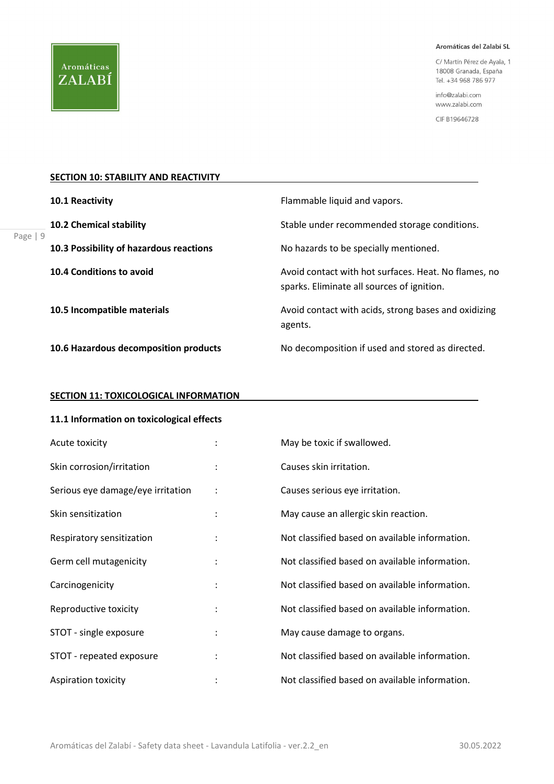C/ Martín Pérez de Ayala, 1 18008 Granada, España Tel. +34 968 786 977

info@zalabi.com www.zalabi.com

CIF B19646728

#### **SECTION 10: STABILITY AND REACTIVITY**

|            | 10.1 Reactivity                         | Flammable liquid and vapors.                                                                       |
|------------|-----------------------------------------|----------------------------------------------------------------------------------------------------|
| Page   $9$ | <b>10.2 Chemical stability</b>          | Stable under recommended storage conditions.                                                       |
|            | 10.3 Possibility of hazardous reactions | No hazards to be specially mentioned.                                                              |
|            | 10.4 Conditions to avoid                | Avoid contact with hot surfaces. Heat. No flames, no<br>sparks. Eliminate all sources of ignition. |
|            | 10.5 Incompatible materials             | Avoid contact with acids, strong bases and oxidizing<br>agents.                                    |
|            | 10.6 Hazardous decomposition products   | No decomposition if used and stored as directed.                                                   |

#### **SECTION 11: TOXICOLOGICAL INFORMATION**

# 11.1 Information on toxicological effects

| Acute toxicity                    |                      | May be toxic if swallowed.                     |
|-----------------------------------|----------------------|------------------------------------------------|
| Skin corrosion/irritation         |                      | Causes skin irritation.                        |
| Serious eye damage/eye irritation | $\ddot{\phantom{a}}$ | Causes serious eye irritation.                 |
| Skin sensitization                | $\ddot{\cdot}$       | May cause an allergic skin reaction.           |
| Respiratory sensitization         | $\ddot{\phantom{a}}$ | Not classified based on available information. |
| Germ cell mutagenicity            |                      | Not classified based on available information. |
| Carcinogenicity                   | $\ddot{\cdot}$       | Not classified based on available information. |
| Reproductive toxicity             |                      | Not classified based on available information. |
| STOT - single exposure            | $\ddot{\phantom{a}}$ | May cause damage to organs.                    |
| STOT - repeated exposure          |                      | Not classified based on available information. |
| <b>Aspiration toxicity</b>        |                      | Not classified based on available information. |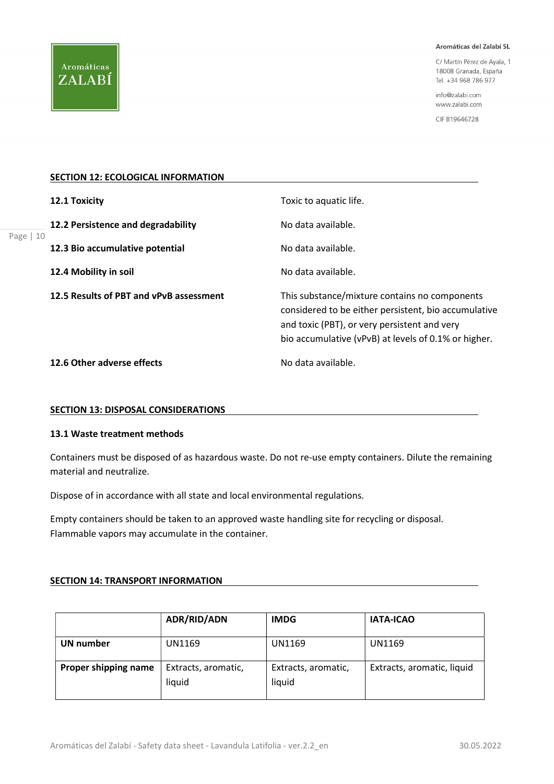

Page |

#### Aromáticas del Zalabí SL

C/ Martín Pérez de Ayala, 1 18008 Granada, España Tel. +34 968 786 977

info@zalabi.com www.zalabi.com

CIF B19646728

#### **SECTION 12: ECOLOGICAL INFORMATION**

|    | 12.1 Toxicity                           | Toxic to aquatic life.                                                                                                                                                                                        |
|----|-----------------------------------------|---------------------------------------------------------------------------------------------------------------------------------------------------------------------------------------------------------------|
| 10 | 12.2 Persistence and degradability      | No data available.                                                                                                                                                                                            |
|    | 12.3 Bio accumulative potential         | No data available.                                                                                                                                                                                            |
|    | 12.4 Mobility in soil                   | No data available.                                                                                                                                                                                            |
|    | 12.5 Results of PBT and vPvB assessment | This substance/mixture contains no components<br>considered to be either persistent, bio accumulative<br>and toxic (PBT), or very persistent and very<br>bio accumulative (vPvB) at levels of 0.1% or higher. |
|    | 12.6 Other adverse effects              | No data available.                                                                                                                                                                                            |

#### SECTION 13: DISPOSAL CONSIDERATIONS

## 13.1 Waste treatment methods

Containers must be disposed of as hazardous waste. Do not re-use empty containers. Dilute the remaining material and neutralize.

Dispose of in accordance with all state and local environmental regulations.

Empty containers should be taken to an approved waste handling site for recycling or disposal. Flammable vapors may accumulate in the container.

#### SECTION 14: TRANSPORT INFORMATION

|                      | <b>ADR/RID/ADN</b>            | <b>IMDG</b>                   | <b>IATA-ICAO</b>           |
|----------------------|-------------------------------|-------------------------------|----------------------------|
| <b>UN number</b>     | UN1169                        | UN1169                        | UN1169                     |
| Proper shipping name | Extracts, aromatic,<br>liquid | Extracts, aromatic,<br>liquid | Extracts, aromatic, liquid |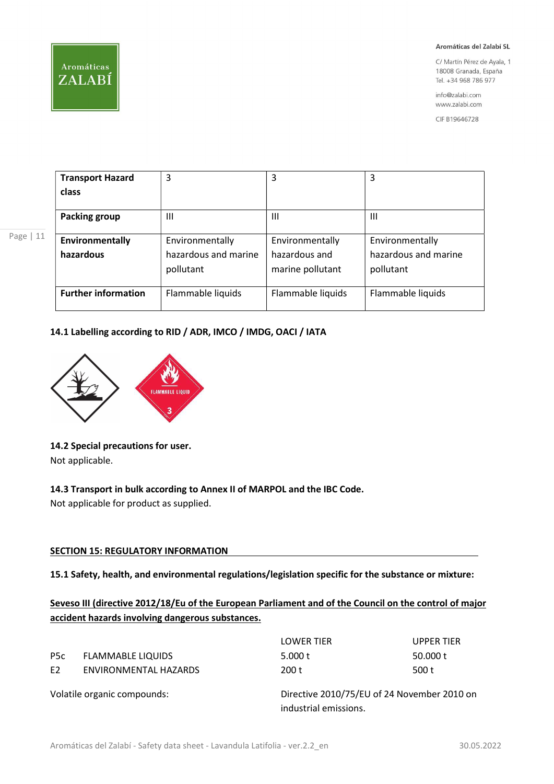

Page | 11

#### Aromáticas del Zalabí SL

C/ Martín Pérez de Ayala, 1 18008 Granada, España Tel. +34 968 786 977

info@zalabi.com www.zalabi.com

CIF B19646728

| <b>Transport Hazard</b>    | 3                    | 3                 | 3                    |
|----------------------------|----------------------|-------------------|----------------------|
| class                      |                      |                   |                      |
| <b>Packing group</b>       | Ш                    | Ш                 | $\mathbf{III}$       |
| Environmentally            | Environmentally      | Environmentally   | Environmentally      |
| hazardous                  | hazardous and marine | hazardous and     | hazardous and marine |
|                            | pollutant            | marine pollutant  | pollutant            |
|                            |                      |                   |                      |
| <b>Further information</b> | Flammable liquids    | Flammable liquids | Flammable liquids    |

## 14.1 Labelling according to RID / ADR, IMCO / IMDG, OACI / IATA



## 14.2 Special precautions for user.

Not applicable.

## 14.3 Transport in bulk according to Annex II of MARPOL and the IBC Code.

Not applicable for product as supplied.

## **SECTION 15: REGULATORY INFORMATION**

15.1 Safety, health, and environmental regulations/legislation specific for the substance or mixture:

Seveso III (directive 2012/18/Eu of the European Parliament and of the Council on the control of major accident hazards involving dangerous substances.

|                             |                          | <b>LOWER TIER</b>                                                    | <b>UPPER TIER</b> |
|-----------------------------|--------------------------|----------------------------------------------------------------------|-------------------|
| P <sub>5</sub> c            | <b>FLAMMABLE LIQUIDS</b> | 5.000 t                                                              | 50.000 t          |
| E <sub>2</sub>              | ENVIRONMENTAL HAZARDS    | 200 t                                                                | 500 t             |
| Volatile organic compounds: |                          | Directive 2010/75/EU of 24 November 2010 on<br>industrial emissions. |                   |